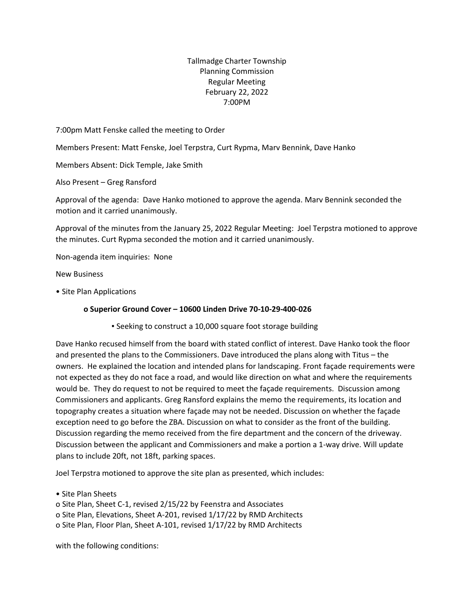Tallmadge Charter Township Planning Commission Regular Meeting February 22, 2022 7:00PM

7:00pm Matt Fenske called the meeting to Order

Members Present: Matt Fenske, Joel Terpstra, Curt Rypma, Marv Bennink, Dave Hanko

Members Absent: Dick Temple, Jake Smith

Also Present – Greg Ransford

Approval of the agenda: Dave Hanko motioned to approve the agenda. Marv Bennink seconded the motion and it carried unanimously.

Approval of the minutes from the January 25, 2022 Regular Meeting: Joel Terpstra motioned to approve the minutes. Curt Rypma seconded the motion and it carried unanimously.

Non-agenda item inquiries: None

New Business

• Site Plan Applications

## **o Superior Ground Cover – 10600 Linden Drive 70-10-29-400-026**

▪ Seeking to construct a 10,000 square foot storage building

Dave Hanko recused himself from the board with stated conflict of interest. Dave Hanko took the floor and presented the plans to the Commissioners. Dave introduced the plans along with Titus – the owners. He explained the location and intended plans for landscaping. Front façade requirements were not expected as they do not face a road, and would like direction on what and where the requirements would be. They do request to not be required to meet the façade requirements. Discussion among Commissioners and applicants. Greg Ransford explains the memo the requirements, its location and topography creates a situation where façade may not be needed. Discussion on whether the façade exception need to go before the ZBA. Discussion on what to consider as the front of the building. Discussion regarding the memo received from the fire department and the concern of the driveway. Discussion between the applicant and Commissioners and make a portion a 1-way drive. Will update plans to include 20ft, not 18ft, parking spaces.

Joel Terpstra motioned to approve the site plan as presented, which includes:

• Site Plan Sheets

o Site Plan, Sheet C-1, revised 2/15/22 by Feenstra and Associates o Site Plan, Elevations, Sheet A-201, revised 1/17/22 by RMD Architects

o Site Plan, Floor Plan, Sheet A-101, revised 1/17/22 by RMD Architects

with the following conditions: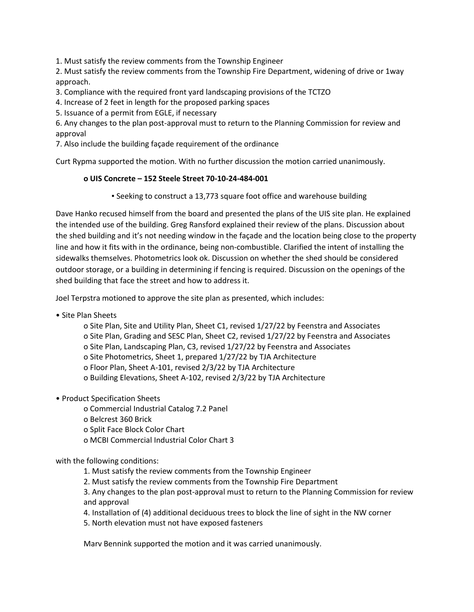1. Must satisfy the review comments from the Township Engineer

2. Must satisfy the review comments from the Township Fire Department, widening of drive or 1way approach.

3. Compliance with the required front yard landscaping provisions of the TCTZO

4. Increase of 2 feet in length for the proposed parking spaces

5. Issuance of a permit from EGLE, if necessary

6. Any changes to the plan post-approval must to return to the Planning Commission for review and approval

7. Also include the building façade requirement of the ordinance

Curt Rypma supported the motion. With no further discussion the motion carried unanimously.

## **o UIS Concrete – 152 Steele Street 70-10-24-484-001**

▪ Seeking to construct a 13,773 square foot office and warehouse building

Dave Hanko recused himself from the board and presented the plans of the UIS site plan. He explained the intended use of the building. Greg Ransford explained their review of the plans. Discussion about the shed building and it's not needing window in the façade and the location being close to the property line and how it fits with in the ordinance, being non-combustible. Clarified the intent of installing the sidewalks themselves. Photometrics look ok. Discussion on whether the shed should be considered outdoor storage, or a building in determining if fencing is required. Discussion on the openings of the shed building that face the street and how to address it.

Joel Terpstra motioned to approve the site plan as presented, which includes:

• Site Plan Sheets

o Site Plan, Site and Utility Plan, Sheet C1, revised 1/27/22 by Feenstra and Associates o Site Plan, Grading and SESC Plan, Sheet C2, revised 1/27/22 by Feenstra and Associates o Site Plan, Landscaping Plan, C3, revised 1/27/22 by Feenstra and Associates o Site Photometrics, Sheet 1, prepared 1/27/22 by TJA Architecture o Floor Plan, Sheet A-101, revised 2/3/22 by TJA Architecture o Building Elevations, Sheet A-102, revised 2/3/22 by TJA Architecture

• Product Specification Sheets

o Commercial Industrial Catalog 7.2 Panel

o Belcrest 360 Brick

o Split Face Block Color Chart

o MCBI Commercial Industrial Color Chart 3

with the following conditions:

1. Must satisfy the review comments from the Township Engineer

2. Must satisfy the review comments from the Township Fire Department

3. Any changes to the plan post-approval must to return to the Planning Commission for review and approval

4. Installation of (4) additional deciduous trees to block the line of sight in the NW corner

5. North elevation must not have exposed fasteners

Marv Bennink supported the motion and it was carried unanimously.